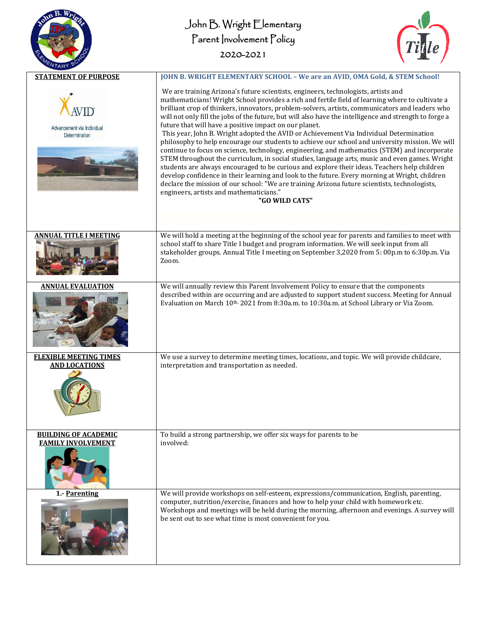| /TARY                                                    | John B. Wright Elementary<br>Parent Involvement Policy<br>2020-2021                                                                                                                                                                                                                                                                                                                                                                                                                                                                                                                                                                                                                                                                                                                                                                                                                                                                                                                                                                                                                                                                                                                                                           |
|----------------------------------------------------------|-------------------------------------------------------------------------------------------------------------------------------------------------------------------------------------------------------------------------------------------------------------------------------------------------------------------------------------------------------------------------------------------------------------------------------------------------------------------------------------------------------------------------------------------------------------------------------------------------------------------------------------------------------------------------------------------------------------------------------------------------------------------------------------------------------------------------------------------------------------------------------------------------------------------------------------------------------------------------------------------------------------------------------------------------------------------------------------------------------------------------------------------------------------------------------------------------------------------------------|
| <b>STATEMENT OF PURPOSE</b>                              | JOHN B. WRIGHT ELEMENTARY SCHOOL - We are an AVID, OMA Gold, & STEM School!                                                                                                                                                                                                                                                                                                                                                                                                                                                                                                                                                                                                                                                                                                                                                                                                                                                                                                                                                                                                                                                                                                                                                   |
| Advancement via Individual<br>Determination              | We are training Arizona's future scientists, engineers, technologists, artists and<br>mathematicians! Wright School provides a rich and fertile field of learning where to cultivate a<br>brilliant crop of thinkers, innovators, problem-solvers, artists, communicators and leaders who<br>will not only fill the jobs of the future, but will also have the intelligence and strength to forge a<br>future that will have a positive impact on our planet.<br>This year, John B. Wright adopted the AVID or Achievement Via Individual Determination<br>philosophy to help encourage our students to achieve our school and university mission. We will<br>continue to focus on science, technology, engineering, and mathematics (STEM) and incorporate<br>STEM throughout the curriculum, in social studies, language arts, music and even games. Wright<br>students are always encouraged to be curious and explore their ideas. Teachers help children<br>develop confidence in their learning and look to the future. Every morning at Wright, children<br>declare the mission of our school: "We are training Arizona future scientists, technologists,<br>engineers, artists and mathematicians."<br>"GO WILD CATS" |
| <b>ANNUAL TITLE I MEETING</b>                            | We will hold a meeting at the beginning of the school year for parents and families to meet with<br>school staff to share Title I budget and program information. We will seek input from all<br>stakeholder groups. Annual Title I meeting on September 3,2020 from 5: 00p.m to 6:30p.m. Via<br>Zoom.                                                                                                                                                                                                                                                                                                                                                                                                                                                                                                                                                                                                                                                                                                                                                                                                                                                                                                                        |
| ANNUAL EVALUATION                                        | We will annually review this Parent Involvement Policy to ensure that the components<br>described within are occurring and are adjusted to support student success. Meeting for Annual<br>Evaluation on March 10th, 2021 from 8:30a.m. to 10:30a.m. at School Library or Via Zoom.                                                                                                                                                                                                                                                                                                                                                                                                                                                                                                                                                                                                                                                                                                                                                                                                                                                                                                                                            |
| <b>FLEXIBLE MEETING TIMES</b><br><u>AND LOCATIONS</u>    | We use a survey to determine meeting times, locations, and topic. We will provide childcare,<br>interpretation and transportation as needed.                                                                                                                                                                                                                                                                                                                                                                                                                                                                                                                                                                                                                                                                                                                                                                                                                                                                                                                                                                                                                                                                                  |
| <b>BUILDING OF ACADEMIC</b><br><b>FAMILY INVOLVEMENT</b> | To build a strong partnership, we offer six ways for parents to be<br>involved:                                                                                                                                                                                                                                                                                                                                                                                                                                                                                                                                                                                                                                                                                                                                                                                                                                                                                                                                                                                                                                                                                                                                               |
| 1.- Parenting                                            | We will provide workshops on self-esteem, expressions/communication, English, parenting,<br>computer, nutrition/exercise, finances and how to help your child with homework etc.<br>Workshops and meetings will be held during the morning, afternoon and evenings. A survey will<br>be sent out to see what time is most convenient for you.                                                                                                                                                                                                                                                                                                                                                                                                                                                                                                                                                                                                                                                                                                                                                                                                                                                                                 |